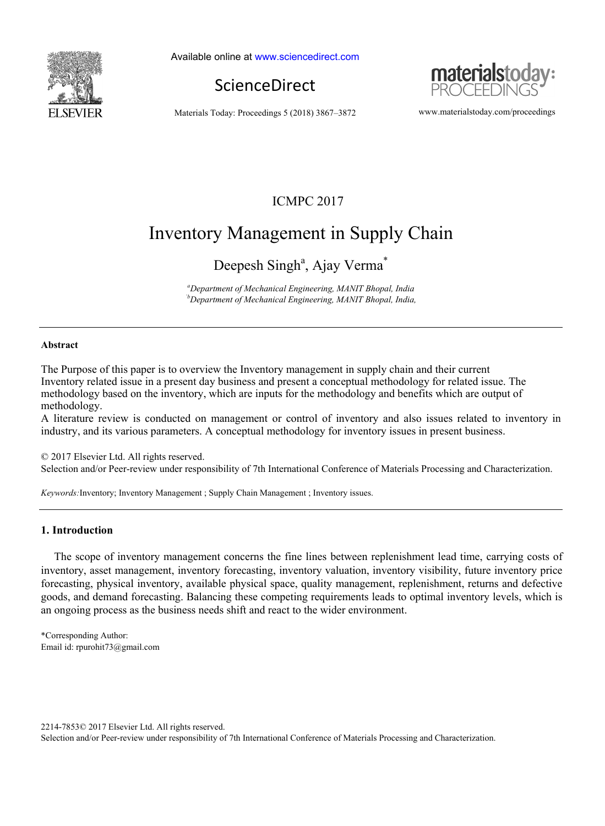

Available online at www.sciencedirect.com





Materials Today: Proceedings 5 (2018) 3867–3872 www.materialstoday.com/proceedings

# ICMPC 2017

# Inventory Management in Supply Chain

Deepesh Singh<sup>a</sup>, Ajay Verma<sup>\*</sup>

*a Department of Mechanical Engineering, MANIT Bhopal, India `bDepartment of Mechanical Engineering, MANIT Bhopal, India,* 

### **Abstract**

The Purpose of this paper is to overview the Inventory management in supply chain and their current Inventory related issue in a present day business and present a conceptual methodology for related issue. The methodology based on the inventory, which are inputs for the methodology and benefits which are output of methodology.

A literature review is conducted on management or control of inventory and also issues related to inventory in industry, and its various parameters. A conceptual methodology for inventory issues in present business.

© 2017 Elsevier Ltd. All rights reserved. Selection and/or Peer-review under responsibility of 7th International Conference of Materials Processing and Characterization.

*Keywords:*Inventory; Inventory Management ; Supply Chain Management ; Inventory issues.

#### **1. Introduction**

The scope of inventory management concerns the fine lines between replenishment lead time, carrying costs of inventory, asset management, inventory forecasting, inventory valuation, inventory visibility, future inventory price forecasting, physical inventory, available physical space, quality management, replenishment, returns and defective goods, and demand forecasting. Balancing these competing requirements leads to optimal inventory levels, which is an ongoing process as the business needs shift and react to the wider environment.

\*Corresponding Author: Email id: rpurohit73@gmail.com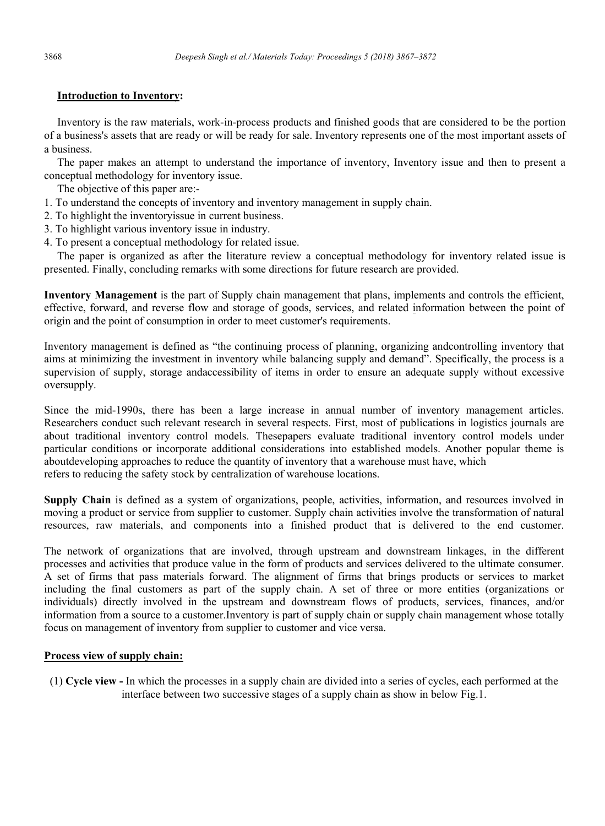## **Introduction to Inventory:**

Inventory is the raw materials, work-in-process products and finished goods that are considered to be the portion of a business's assets that are ready or will be ready for sale. Inventory represents one of the most important assets of a business.

The paper makes an attempt to understand the importance of inventory, Inventory issue and then to present a conceptual methodology for inventory issue.

The objective of this paper are:-

- 1. To understand the concepts of inventory and inventory management in supply chain.
- 2. To highlight the inventoryissue in current business.
- 3. To highlight various inventory issue in industry.
- 4. To present a conceptual methodology for related issue.

The paper is organized as after the literature review a conceptual methodology for inventory related issue is presented. Finally, concluding remarks with some directions for future research are provided.

**Inventory Management** is the part of Supply chain management that plans, implements and controls the efficient, effective, forward, and reverse flow and storage of goods, services, and related information between the point of origin and the point of consumption in order to meet customer's requirements.

Inventory management is defined as "the continuing process of planning, organizing andcontrolling inventory that aims at minimizing the investment in inventory while balancing supply and demand". Specifically, the process is a supervision of supply, storage andaccessibility of items in order to ensure an adequate supply without excessive oversupply.

Since the mid-1990s, there has been a large increase in annual number of inventory management articles. Researchers conduct such relevant research in several respects. First, most of publications in logistics journals are about traditional inventory control models. Thesepapers evaluate traditional inventory control models under particular conditions or incorporate additional considerations into established models. Another popular theme is aboutdeveloping approaches to reduce the quantity of inventory that a warehouse must have, which refers to reducing the safety stock by centralization of warehouse locations.

**Supply Chain** is defined as a system of organizations, people, activities, information, and resources involved in moving a product or service from supplier to customer. Supply chain activities involve the transformation of natural resources, raw materials, and components into a finished product that is delivered to the end customer.

The network of organizations that are involved, through upstream and downstream linkages, in the different processes and activities that produce value in the form of products and services delivered to the ultimate consumer. A set of firms that pass materials forward. The alignment of firms that brings products or services to market including the final customers as part of the supply chain. A set of three or more entities (organizations or individuals) directly involved in the upstream and downstream flows of products, services, finances, and/or information from a source to a customer.Inventory is part of supply chain or supply chain management whose totally focus on management of inventory from supplier to customer and vice versa.

### **Process view of supply chain:**

(1) **Cycle view -** In which the processes in a supply chain are divided into a series of cycles, each performed at the interface between two successive stages of a supply chain as show in below Fig.1.